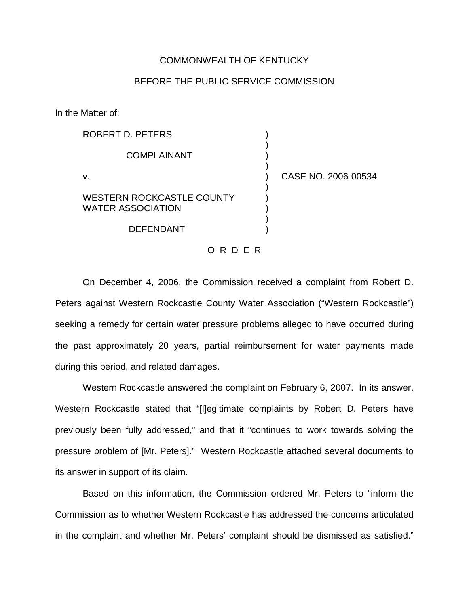## COMMONWEALTH OF KENTUCKY

## BEFORE THE PUBLIC SERVICE COMMISSION

In the Matter of:

| ROBERT D. PETERS                                             |                     |
|--------------------------------------------------------------|---------------------|
| <b>COMPLAINANT</b>                                           |                     |
| v.                                                           | CASE NO. 2006-00534 |
| <b>WESTERN ROCKCASTLE COUNTY</b><br><b>WATER ASSOCIATION</b> |                     |
| DEFENDANT                                                    |                     |

## O R D E R

On December 4, 2006, the Commission received a complaint from Robert D. Peters against Western Rockcastle County Water Association ("Western Rockcastle") seeking a remedy for certain water pressure problems alleged to have occurred during the past approximately 20 years, partial reimbursement for water payments made during this period, and related damages.

Western Rockcastle answered the complaint on February 6, 2007. In its answer, Western Rockcastle stated that "[l]egitimate complaints by Robert D. Peters have previously been fully addressed," and that it "continues to work towards solving the pressure problem of [Mr. Peters]." Western Rockcastle attached several documents to its answer in support of its claim.

Based on this information, the Commission ordered Mr. Peters to "inform the Commission as to whether Western Rockcastle has addressed the concerns articulated in the complaint and whether Mr. Peters' complaint should be dismissed as satisfied."